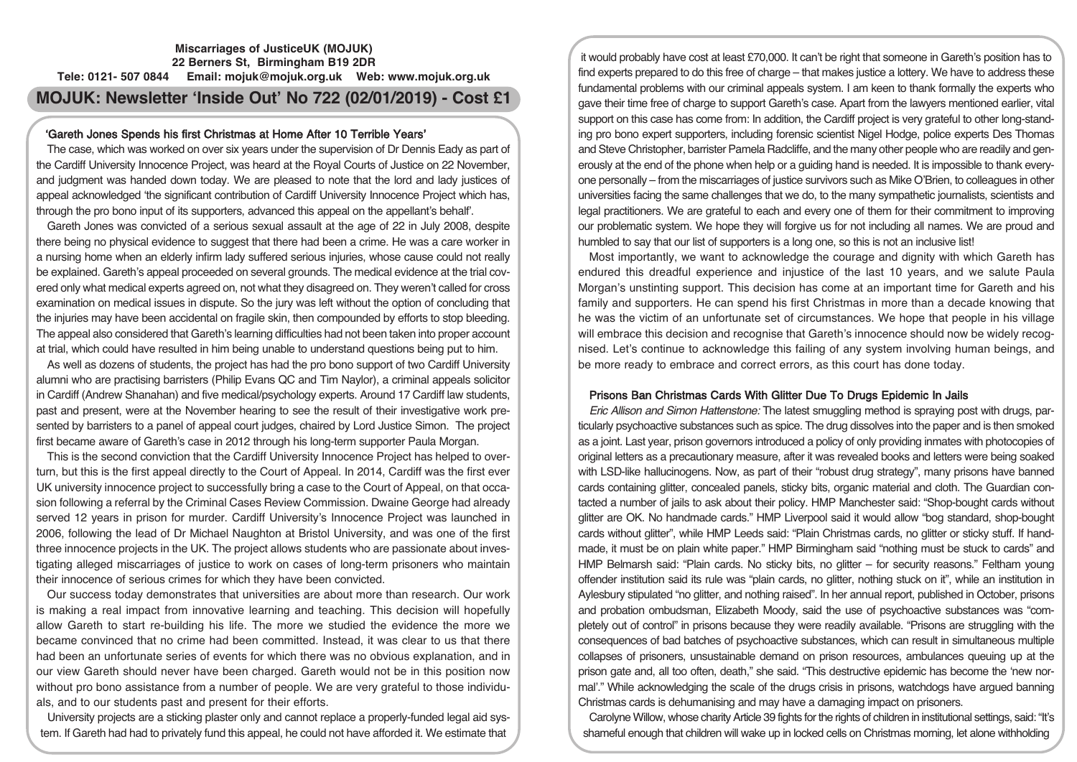# **Miscarriages of JusticeUK (MOJUK) 22 Berners St, Birmingham B19 2DR Tele: 0121- 507 0844 Email: mojuk@mojuk.org.uk Web: www.mojuk.org.uk MOJUK: Newsletter 'Inside Out' No 722 (02/01/2019) - Cost £1**

## 'Gareth Jones Spends his first Christmas at Home After 10 Terrible Years'

The case, which was worked on over six years under the supervision of Dr Dennis Eady as part of the Cardiff University Innocence Project, was heard at the Royal Courts of Justice on 22 November, and judgment was handed down today. We are pleased to note that the lord and lady justices of appeal acknowledged 'the significant contribution of Cardiff University Innocence Project which has, through the pro bono input of its supporters, advanced this appeal on the appellant's behalf'.

Gareth Jones was convicted of a serious sexual assault at the age of 22 in July 2008, despite there being no physical evidence to suggest that there had been a crime. He was a care worker in a nursing home when an elderly infirm lady suffered serious injuries, whose cause could not really be explained. Gareth's appeal proceeded on several grounds. The medical evidence at the trial covered only what medical experts agreed on, not what they disagreed on. They weren't called for cross examination on medical issues in dispute. So the jury was left without the option of concluding that the injuries may have been accidental on fragile skin, then compounded by efforts to stop bleeding. The appeal also considered that Gareth's learning difficulties had not been taken into proper account at trial, which could have resulted in him being unable to understand questions being put to him.

As well as dozens of students, the project has had the pro bono support of two Cardiff University alumni who are practising barristers (Philip Evans QC and Tim Naylor), a criminal appeals solicitor in Cardiff (Andrew Shanahan) and five medical/psychology experts. Around 17 Cardiff law students, past and present, were at the November hearing to see the result of their investigative work presented by barristers to a panel of appeal court judges, chaired by Lord Justice Simon. The project first became aware of Gareth's case in 2012 through his long-term supporter Paula Morgan.

This is the second conviction that the Cardiff University Innocence Project has helped to overturn, but this is the first appeal directly to the Court of Appeal. In 2014, Cardiff was the first ever UK university innocence project to successfully bring a case to the Court of Appeal, on that occasion following a referral by the Criminal Cases Review Commission. Dwaine George had already served 12 years in prison for murder. Cardiff University's Innocence Project was launched in 2006, following the lead of Dr Michael Naughton at Bristol University, and was one of the first three innocence projects in the UK. The project allows students who are passionate about investigating alleged miscarriages of justice to work on cases of long-term prisoners who maintain their innocence of serious crimes for which they have been convicted.

Our success today demonstrates that universities are about more than research. Our work is making a real impact from innovative learning and teaching. This decision will hopefully allow Gareth to start re-building his life. The more we studied the evidence the more we became convinced that no crime had been committed. Instead, it was clear to us that there had been an unfortunate series of events for which there was no obvious explanation, and in our view Gareth should never have been charged. Gareth would not be in this position now without pro bono assistance from a number of people. We are very grateful to those individuals, and to our students past and present for their efforts.

University projects are a sticking plaster only and cannot replace a properly-funded legal aid system. If Gareth had had to privately fund this appeal, he could not have afforded it. We estimate that

it would probably have cost at least £70,000. It can't be right that someone in Gareth's position has to find experts prepared to do this free of charge – that makes justice a lottery. We have to address these fundamental problems with our criminal appeals system. I am keen to thank formally the experts who gave their time free of charge to support Gareth's case. Apart from the lawyers mentioned earlier, vital support on this case has come from: In addition, the Cardiff project is very grateful to other long-standing pro bono expert supporters, including forensic scientist Nigel Hodge, police experts Des Thomas and Steve Christopher, barrister Pamela Radcliffe, and the many other people who are readily and generously at the end of the phone when help or a guiding hand is needed. It is impossible to thank everyone personally – from the miscarriages of justice survivors such as Mike O'Brien, to colleagues in other universities facing the same challenges that we do, to the many sympathetic journalists, scientists and legal practitioners. We are grateful to each and every one of them for their commitment to improving our problematic system. We hope they will forgive us for not including all names. We are proud and humbled to say that our list of supporters is a long one, so this is not an inclusive list!

Most importantly, we want to acknowledge the courage and dignity with which Gareth has endured this dreadful experience and injustice of the last 10 years, and we salute Paula Morgan's unstinting support. This decision has come at an important time for Gareth and his family and supporters. He can spend his first Christmas in more than a decade knowing that he was the victim of an unfortunate set of circumstances. We hope that people in his village will embrace this decision and recognise that Gareth's innocence should now be widely recognised. Let's continue to acknowledge this failing of any system involving human beings, and be more ready to embrace and correct errors, as this court has done today.

### Prisons Ban Christmas Cards With Glitter Due To Drugs Epidemic In Jails

Eric Allison and Simon Hattenstone: The latest smuggling method is spraying post with drugs, particularly psychoactive substances such as spice. The drug dissolves into the paper and is then smoked as a joint. Last year, prison governors introduced a policy of only providing inmates with photocopies of original letters as a precautionary measure, after it was revealed books and letters were being soaked with LSD-like hallucinogens. Now, as part of their "robust drug strategy", many prisons have banned cards containing glitter, concealed panels, sticky bits, organic material and cloth. The Guardian contacted a number of jails to ask about their policy. HMP Manchester said: "Shop-bought cards without glitter are OK. No handmade cards." HMP Liverpool said it would allow "bog standard, shop-bought cards without glitter", while HMP Leeds said: "Plain Christmas cards, no glitter or sticky stuff. If handmade, it must be on plain white paper." HMP Birmingham said "nothing must be stuck to cards" and HMP Belmarsh said: "Plain cards. No sticky bits, no glitter – for security reasons." Feltham young offender institution said its rule was "plain cards, no glitter, nothing stuck on it", while an institution in Aylesbury stipulated "no glitter, and nothing raised". In her annual report, published in October, prisons and probation ombudsman, Elizabeth Moody, said the use of psychoactive substances was "completely out of control" in prisons because they were readily available. "Prisons are struggling with the consequences of bad batches of psychoactive substances, which can result in simultaneous multiple collapses of prisoners, unsustainable demand on prison resources, ambulances queuing up at the prison gate and, all too often, death," she said. "This destructive epidemic has become the 'new normal'." While acknowledging the scale of the drugs crisis in prisons, watchdogs have argued banning Christmas cards is dehumanising and may have a damaging impact on prisoners.

Carolyne Willow, whose charity Article 39 fights for the rights of children in institutional settings, said: "It's shameful enough that children will wake up in locked cells on Christmas morning, let alone withholding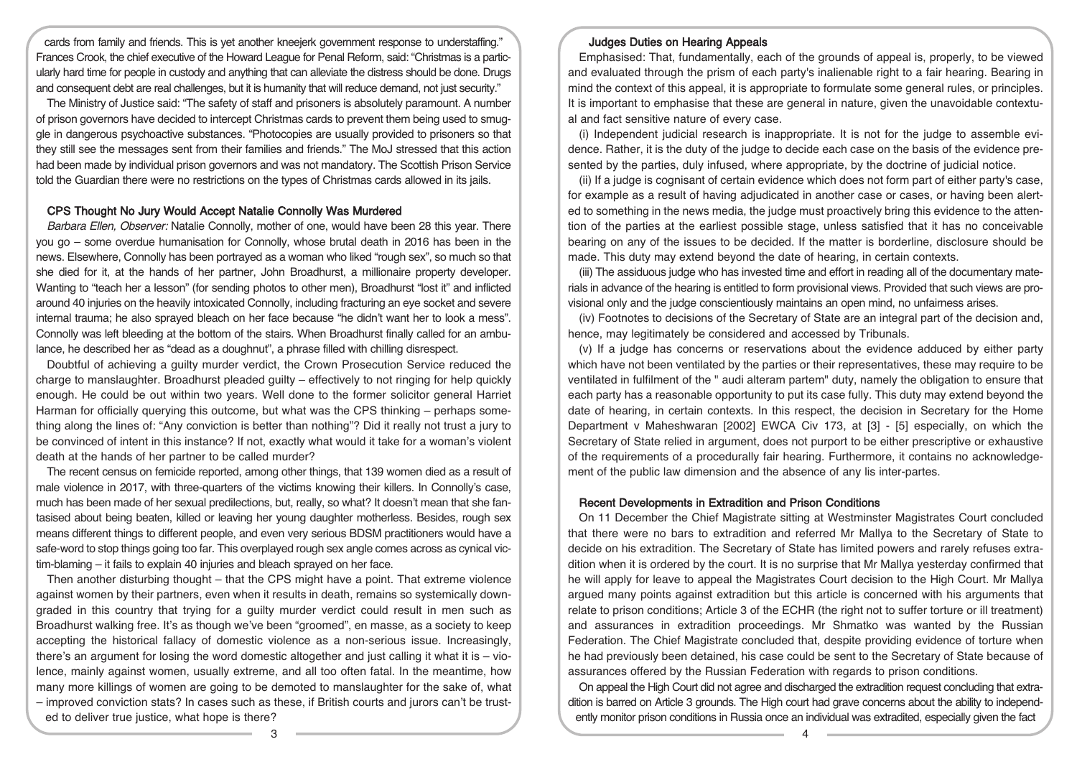cards from family and friends. This is yet another kneejerk government response to understaffing." Frances Crook, the chief executive of the Howard League for Penal Reform, said: "Christmas is a particularly hard time for people in custody and anything that can alleviate the distress should be done. Drugs and consequent debt are real challenges, but it is humanity that will reduce demand, not just security."

The Ministry of Justice said: "The safety of staff and prisoners is absolutely paramount. A number of prison governors have decided to intercept Christmas cards to prevent them being used to smuggle in dangerous psychoactive substances. "Photocopies are usually provided to prisoners so that they still see the messages sent from their families and friends." The MoJ stressed that this action had been made by individual prison governors and was not mandatory. The Scottish Prison Service told the Guardian there were no restrictions on the types of Christmas cards allowed in its jails.

#### CPS Thought No Jury Would Accept Natalie Connolly Was Murdered

Barbara Ellen, Observer: Natalie Connolly, mother of one, would have been 28 this year. There you go – some overdue humanisation for Connolly, whose brutal death in 2016 has been in the news. Elsewhere, Connolly has been portrayed as a woman who liked "rough sex", so much so that she died for it, at the hands of her partner, John Broadhurst, a millionaire property developer. Wanting to "teach her a lesson" (for sending photos to other men), Broadhurst "lost it" and inflicted around 40 injuries on the heavily intoxicated Connolly, including fracturing an eye socket and severe internal trauma; he also sprayed bleach on her face because "he didn't want her to look a mess". Connolly was left bleeding at the bottom of the stairs. When Broadhurst finally called for an ambulance, he described her as "dead as a doughnut", a phrase filled with chilling disrespect.

Doubtful of achieving a guilty murder verdict, the Crown Prosecution Service reduced the charge to manslaughter. Broadhurst pleaded guilty – effectively to not ringing for help quickly enough. He could be out within two years. Well done to the former solicitor general Harriet Harman for officially querying this outcome, but what was the CPS thinking – perhaps something along the lines of: "Any conviction is better than nothing"? Did it really not trust a jury to be convinced of intent in this instance? If not, exactly what would it take for a woman's violent death at the hands of her partner to be called murder?

The recent census on femicide reported, among other things, that 139 women died as a result of male violence in 2017, with three-quarters of the victims knowing their killers. In Connolly's case, much has been made of her sexual predilections, but, really, so what? It doesn't mean that she fantasised about being beaten, killed or leaving her young daughter motherless. Besides, rough sex means different things to different people, and even very serious BDSM practitioners would have a safe-word to stop things going too far. This overplayed rough sex angle comes across as cynical victim-blaming – it fails to explain 40 injuries and bleach sprayed on her face.

Then another disturbing thought – that the CPS might have a point. That extreme violence against women by their partners, even when it results in death, remains so systemically downgraded in this country that trying for a guilty murder verdict could result in men such as Broadhurst walking free. It's as though we've been "groomed", en masse, as a society to keep accepting the historical fallacy of domestic violence as a non-serious issue. Increasingly, there's an argument for losing the word domestic altogether and just calling it what it is – violence, mainly against women, usually extreme, and all too often fatal. In the meantime, how many more killings of women are going to be demoted to manslaughter for the sake of, what – improved conviction stats? In cases such as these, if British courts and jurors can't be trusted to deliver true justice, what hope is there?

## Judges Duties on Hearing Appeals

Emphasised: That, fundamentally, each of the grounds of appeal is, properly, to be viewed and evaluated through the prism of each party's inalienable right to a fair hearing. Bearing in mind the context of this appeal, it is appropriate to formulate some general rules, or principles. It is important to emphasise that these are general in nature, given the unavoidable contextual and fact sensitive nature of every case.

(i) Independent judicial research is inappropriate. It is not for the judge to assemble evidence. Rather, it is the duty of the judge to decide each case on the basis of the evidence presented by the parties, duly infused, where appropriate, by the doctrine of judicial notice.

(ii) If a judge is cognisant of certain evidence which does not form part of either party's case, for example as a result of having adjudicated in another case or cases, or having been alerted to something in the news media, the judge must proactively bring this evidence to the attention of the parties at the earliest possible stage, unless satisfied that it has no conceivable bearing on any of the issues to be decided. If the matter is borderline, disclosure should be made. This duty may extend beyond the date of hearing, in certain contexts.

(iii) The assiduous judge who has invested time and effort in reading all of the documentary materials in advance of the hearing is entitled to form provisional views. Provided that such views are provisional only and the judge conscientiously maintains an open mind, no unfairness arises.

(iv) Footnotes to decisions of the Secretary of State are an integral part of the decision and, hence, may legitimately be considered and accessed by Tribunals.

(v) If a judge has concerns or reservations about the evidence adduced by either party which have not been ventilated by the parties or their representatives, these may require to be ventilated in fulfilment of the " audi alteram partem" duty, namely the obligation to ensure that each party has a reasonable opportunity to put its case fully. This duty may extend beyond the date of hearing, in certain contexts. In this respect, the decision in Secretary for the Home Department v Maheshwaran [2002] EWCA Civ 173, at [3] - [5] especially, on which the Secretary of State relied in argument, does not purport to be either prescriptive or exhaustive of the requirements of a procedurally fair hearing. Furthermore, it contains no acknowledgement of the public law dimension and the absence of any lis inter-partes.

#### Recent Developments in Extradition and Prison Conditions

On 11 December the Chief Magistrate sitting at Westminster Magistrates Court concluded that there were no bars to extradition and referred Mr Mallya to the Secretary of State to decide on his extradition. The Secretary of State has limited powers and rarely refuses extradition when it is ordered by the court. It is no surprise that Mr Mallya yesterday confirmed that he will apply for leave to appeal the Magistrates Court decision to the High Court. Mr Mallya argued many points against extradition but this article is concerned with his arguments that relate to prison conditions; Article 3 of the ECHR (the right not to suffer torture or ill treatment) and assurances in extradition proceedings. Mr Shmatko was wanted by the Russian Federation. The Chief Magistrate concluded that, despite providing evidence of torture when he had previously been detained, his case could be sent to the Secretary of State because of assurances offered by the Russian Federation with regards to prison conditions.

On appeal the High Court did not agree and discharged the extradition request concluding that extradition is barred on Article 3 grounds. The High court had grave concerns about the ability to independently monitor prison conditions in Russia once an individual was extradited, especially given the fact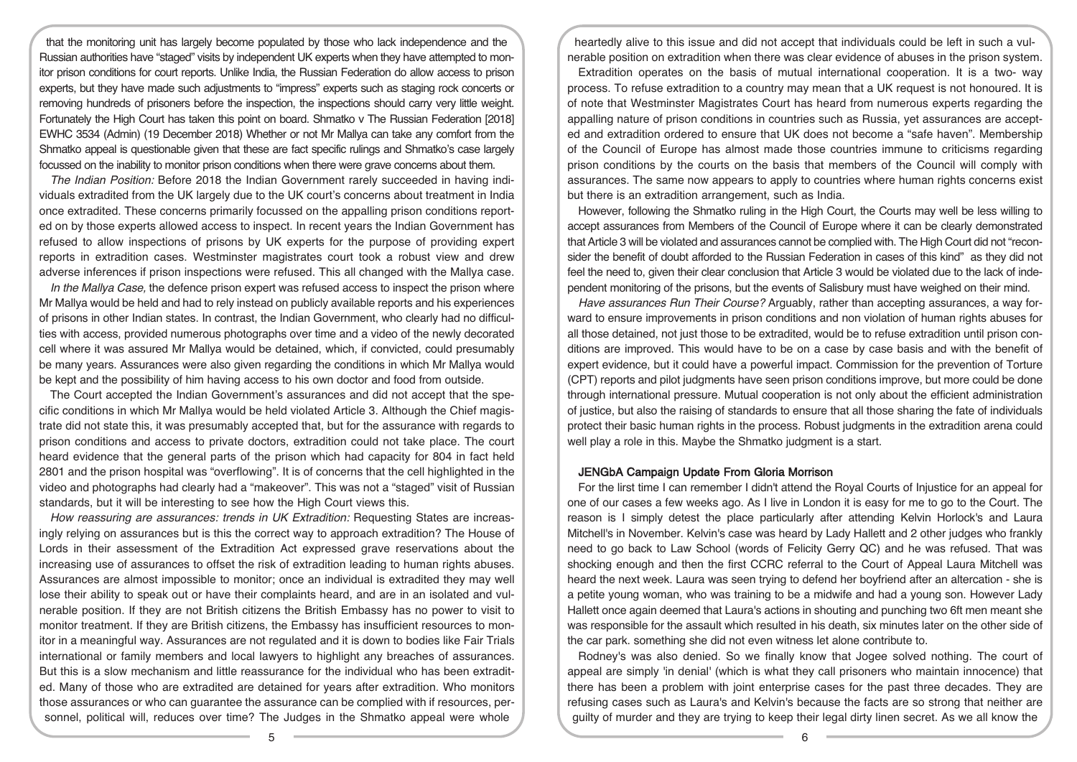that the monitoring unit has largely become populated by those who lack independence and the Russian authorities have "staged" visits by independent UK experts when they have attempted to monitor prison conditions for court reports. Unlike India, the Russian Federation do allow access to prison experts, but they have made such adjustments to "impress" experts such as staging rock concerts or removing hundreds of prisoners before the inspection, the inspections should carry very little weight. Fortunately the High Court has taken this point on board. Shmatko v The Russian Federation [2018] EWHC 3534 (Admin) (19 December 2018) Whether or not Mr Mallya can take any comfort from the Shmatko appeal is questionable given that these are fact specific rulings and Shmatko's case largely focussed on the inability to monitor prison conditions when there were grave concerns about them.

The Indian Position: Before 2018 the Indian Government rarely succeeded in having individuals extradited from the UK largely due to the UK court's concerns about treatment in India once extradited. These concerns primarily focussed on the appalling prison conditions reported on by those experts allowed access to inspect. In recent years the Indian Government has refused to allow inspections of prisons by UK experts for the purpose of providing expert reports in extradition cases. Westminster magistrates court took a robust view and drew adverse inferences if prison inspections were refused. This all changed with the Mallya case.

In the Mallya Case, the defence prison expert was refused access to inspect the prison where Mr Mallya would be held and had to rely instead on publicly available reports and his experiences of prisons in other Indian states. In contrast, the Indian Government, who clearly had no difficulties with access, provided numerous photographs over time and a video of the newly decorated cell where it was assured Mr Mallya would be detained, which, if convicted, could presumably be many years. Assurances were also given regarding the conditions in which Mr Mallya would be kept and the possibility of him having access to his own doctor and food from outside.

The Court accepted the Indian Government's assurances and did not accept that the specific conditions in which Mr Mallya would be held violated Article 3. Although the Chief magistrate did not state this, it was presumably accepted that, but for the assurance with regards to prison conditions and access to private doctors, extradition could not take place. The court heard evidence that the general parts of the prison which had capacity for 804 in fact held 2801 and the prison hospital was "overflowing". It is of concerns that the cell highlighted in the video and photographs had clearly had a "makeover". This was not a "staged" visit of Russian standards, but it will be interesting to see how the High Court views this.

How reassuring are assurances: trends in UK Extradition: Requesting States are increasingly relying on assurances but is this the correct way to approach extradition? The House of Lords in their assessment of the Extradition Act expressed grave reservations about the increasing use of assurances to offset the risk of extradition leading to human rights abuses. Assurances are almost impossible to monitor; once an individual is extradited they may well lose their ability to speak out or have their complaints heard, and are in an isolated and vulnerable position. If they are not British citizens the British Embassy has no power to visit to monitor treatment. If they are British citizens, the Embassy has insufficient resources to monitor in a meaningful way. Assurances are not regulated and it is down to bodies like Fair Trials international or family members and local lawyers to highlight any breaches of assurances. But this is a slow mechanism and little reassurance for the individual who has been extradited. Many of those who are extradited are detained for years after extradition. Who monitors those assurances or who can guarantee the assurance can be complied with if resources, personnel, political will, reduces over time? The Judges in the Shmatko appeal were whole

heartedly alive to this issue and did not accept that individuals could be left in such a vulnerable position on extradition when there was clear evidence of abuses in the prison system.

Extradition operates on the basis of mutual international cooperation. It is a two- way process. To refuse extradition to a country may mean that a UK request is not honoured. It is of note that Westminster Magistrates Court has heard from numerous experts regarding the appalling nature of prison conditions in countries such as Russia, yet assurances are accepted and extradition ordered to ensure that UK does not become a "safe haven". Membership of the Council of Europe has almost made those countries immune to criticisms regarding prison conditions by the courts on the basis that members of the Council will comply with assurances. The same now appears to apply to countries where human rights concerns exist but there is an extradition arrangement, such as India.

However, following the Shmatko ruling in the High Court, the Courts may well be less willing to accept assurances from Members of the Council of Europe where it can be clearly demonstrated that Article 3 will be violated and assurances cannot be complied with. The High Court did not "reconsider the benefit of doubt afforded to the Russian Federation in cases of this kind" as they did not feel the need to, given their clear conclusion that Article 3 would be violated due to the lack of independent monitoring of the prisons, but the events of Salisbury must have weighed on their mind.

Have assurances Run Their Course? Arguably, rather than accepting assurances, a way forward to ensure improvements in prison conditions and non violation of human rights abuses for all those detained, not just those to be extradited, would be to refuse extradition until prison conditions are improved. This would have to be on a case by case basis and with the benefit of expert evidence, but it could have a powerful impact. Commission for the prevention of Torture (CPT) reports and pilot judgments have seen prison conditions improve, but more could be done through international pressure. Mutual cooperation is not only about the efficient administration of justice, but also the raising of standards to ensure that all those sharing the fate of individuals protect their basic human rights in the process. Robust judgments in the extradition arena could well play a role in this. Maybe the Shmatko judgment is a start.

## JENGbA Campaign Update From Gloria Morrison

For the lirst time I can remember I didn't attend the Royal Courts of Injustice for an appeal for one of our cases a few weeks ago. As I live in London it is easy for me to go to the Court. The reason is I simply detest the place particularly after attending Kelvin Horlock's and Laura Mitchell's in November. Kelvin's case was heard by Lady Hallett and 2 other judges who frankly need to go back to Law School (words of Felicity Gerry QC) and he was refused. That was shocking enough and then the first CCRC referral to the Court of Appeal Laura Mitchell was heard the next week. Laura was seen trying to defend her boyfriend after an altercation - she is a petite young woman, who was training to be a midwife and had a young son. However Lady Hallett once again deemed that Laura's actions in shouting and punching two 6ft men meant she was responsible for the assault which resulted in his death, six minutes later on the other side of the car park. something she did not even witness let alone contribute to.

Rodney's was also denied. So we finally know that Jogee solved nothing. The court of appeal are simply 'in denial' (which is what they call prisoners who maintain innocence) that there has been a problem with joint enterprise cases for the past three decades. They are refusing cases such as Laura's and Kelvin's because the facts are so strong that neither are guilty of murder and they are trying to keep their legal dirty linen secret. As we all know the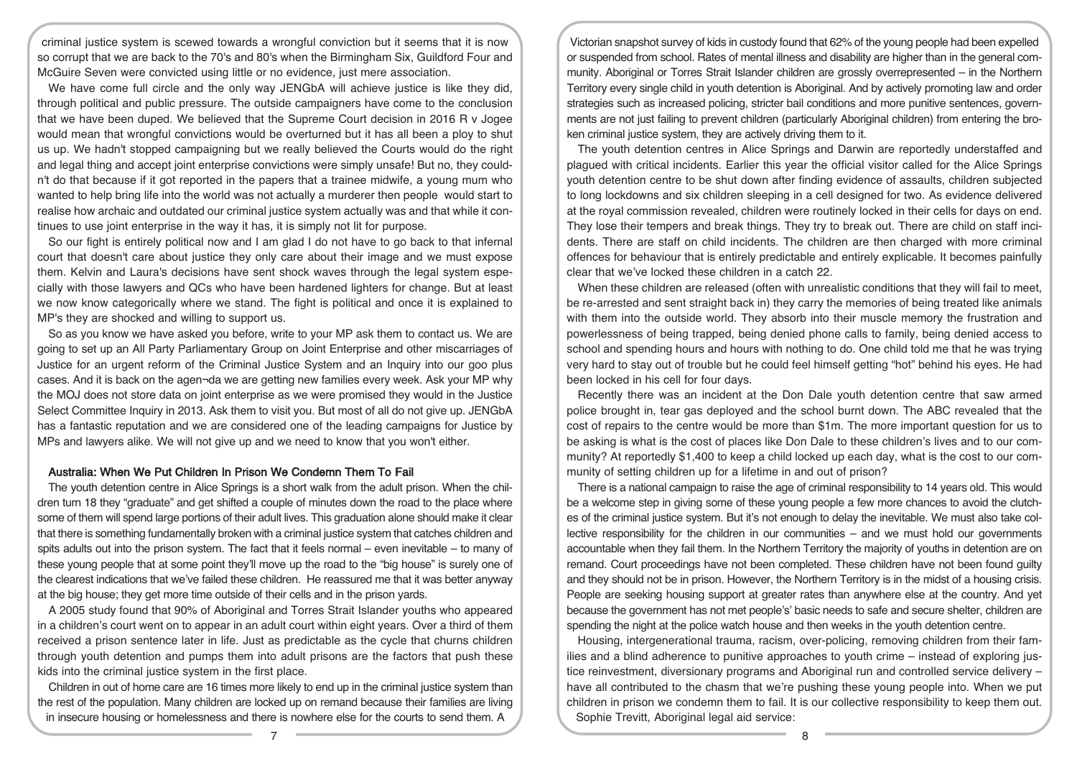criminal justice system is scewed towards a wrongful conviction but it seems that it is now so corrupt that we are back to the 70's and 80's when the Birmingham Six, Guildford Four and McGuire Seven were convicted using little or no evidence, just mere association.

We have come full circle and the only way JENGbA will achieve justice is like they did, through political and public pressure. The outside campaigners have come to the conclusion that we have been duped. We believed that the Supreme Court decision in 2016 R v Jogee would mean that wrongful convictions would be overturned but it has all been a ploy to shut us up. We hadn't stopped campaigning but we really believed the Courts would do the right and legal thing and accept joint enterprise convictions were simply unsafe! But no, they couldn't do that because if it got reported in the papers that a trainee midwife, a young mum who wanted to help bring life into the world was not actually a murderer then people would start to realise how archaic and outdated our criminal justice system actually was and that while it continues to use joint enterprise in the way it has, it is simply not lit for purpose.

So our fight is entirely political now and I am glad I do not have to go back to that infernal court that doesn't care about justice they only care about their image and we must expose them. Kelvin and Laura's decisions have sent shock waves through the legal system especially with those lawyers and QCs who have been hardened lighters for change. But at least we now know categorically where we stand. The fight is political and once it is explained to MP's they are shocked and willing to support us.

So as you know we have asked you before, write to your MP ask them to contact us. We are going to set up an All Party Parliamentary Group on Joint Enterprise and other miscarriages of Justice for an urgent reform of the Criminal Justice System and an Inquiry into our goo plus cases. And it is back on the agen¬da we are getting new families every week. Ask your MP why the MOJ does not store data on joint enterprise as we were promised they would in the Justice Select Committee Inquiry in 2013. Ask them to visit you. But most of all do not give up. JENGbA has a fantastic reputation and we are considered one of the leading campaigns for Justice by MPs and lawyers alike. We will not give up and we need to know that you won't either.

## Australia: When We Put Children In Prison We Condemn Them To Fail

The youth detention centre in Alice Springs is a short walk from the adult prison. When the children turn 18 they "graduate" and get shifted a couple of minutes down the road to the place where some of them will spend large portions of their adult lives. This graduation alone should make it clear that there is something fundamentally broken with a criminal justice system that catches children and spits adults out into the prison system. The fact that it feels normal – even inevitable – to many of these young people that at some point they'll move up the road to the "big house" is surely one of the clearest indications that we've failed these children. He reassured me that it was better anyway at the big house; they get more time outside of their cells and in the prison yards.

A 2005 study found that 90% of Aboriginal and Torres Strait Islander youths who appeared in a children's court went on to appear in an adult court within eight years. Over a third of them received a prison sentence later in life. Just as predictable as the cycle that churns children through youth detention and pumps them into adult prisons are the factors that push these kids into the criminal justice system in the first place.

Children in out of home care are 16 times more likely to end up in the criminal justice system than the rest of the population. Many children are locked up on remand because their families are living in insecure housing or homelessness and there is nowhere else for the courts to send them. A

Victorian snapshot survey of kids in custody found that 62% of the young people had been expelled or suspended from school. Rates of mental illness and disability are higher than in the general community. Aboriginal or Torres Strait Islander children are grossly overrepresented – in the Northern Territory every single child in youth detention is Aboriginal. And by actively promoting law and order strategies such as increased policing, stricter bail conditions and more punitive sentences, governments are not just failing to prevent children (particularly Aboriginal children) from entering the broken criminal justice system, they are actively driving them to it.

The youth detention centres in Alice Springs and Darwin are reportedly understaffed and plagued with critical incidents. Earlier this year the official visitor called for the Alice Springs youth detention centre to be shut down after finding evidence of assaults, children subjected to long lockdowns and six children sleeping in a cell designed for two. As evidence delivered at the royal commission revealed, children were routinely locked in their cells for days on end. They lose their tempers and break things. They try to break out. There are child on staff incidents. There are staff on child incidents. The children are then charged with more criminal offences for behaviour that is entirely predictable and entirely explicable. It becomes painfully clear that we've locked these children in a catch 22.

When these children are released (often with unrealistic conditions that they will fail to meet, be re-arrested and sent straight back in) they carry the memories of being treated like animals with them into the outside world. They absorb into their muscle memory the frustration and powerlessness of being trapped, being denied phone calls to family, being denied access to school and spending hours and hours with nothing to do. One child told me that he was trying very hard to stay out of trouble but he could feel himself getting "hot" behind his eyes. He had been locked in his cell for four days.

Recently there was an incident at the Don Dale youth detention centre that saw armed police brought in, tear gas deployed and the school burnt down. The ABC revealed that the cost of repairs to the centre would be more than \$1m. The more important question for us to be asking is what is the cost of places like Don Dale to these children's lives and to our community? At reportedly \$1,400 to keep a child locked up each day, what is the cost to our community of setting children up for a lifetime in and out of prison?

There is a national campaign to raise the age of criminal responsibility to 14 years old. This would be a welcome step in giving some of these young people a few more chances to avoid the clutches of the criminal justice system. But it's not enough to delay the inevitable. We must also take collective responsibility for the children in our communities – and we must hold our governments accountable when they fail them. In the Northern Territory the majority of youths in detention are on remand. Court proceedings have not been completed. These children have not been found guilty and they should not be in prison. However, the Northern Territory is in the midst of a housing crisis. People are seeking housing support at greater rates than anywhere else at the country. And yet because the government has not met people's' basic needs to safe and secure shelter, children are spending the night at the police watch house and then weeks in the youth detention centre.

Housing, intergenerational trauma, racism, over-policing, removing children from their families and a blind adherence to punitive approaches to youth crime – instead of exploring justice reinvestment, diversionary programs and Aboriginal run and controlled service delivery – have all contributed to the chasm that we're pushing these young people into. When we put children in prison we condemn them to fail. It is our collective responsibility to keep them out. Sophie Trevitt, Aboriginal legal aid service: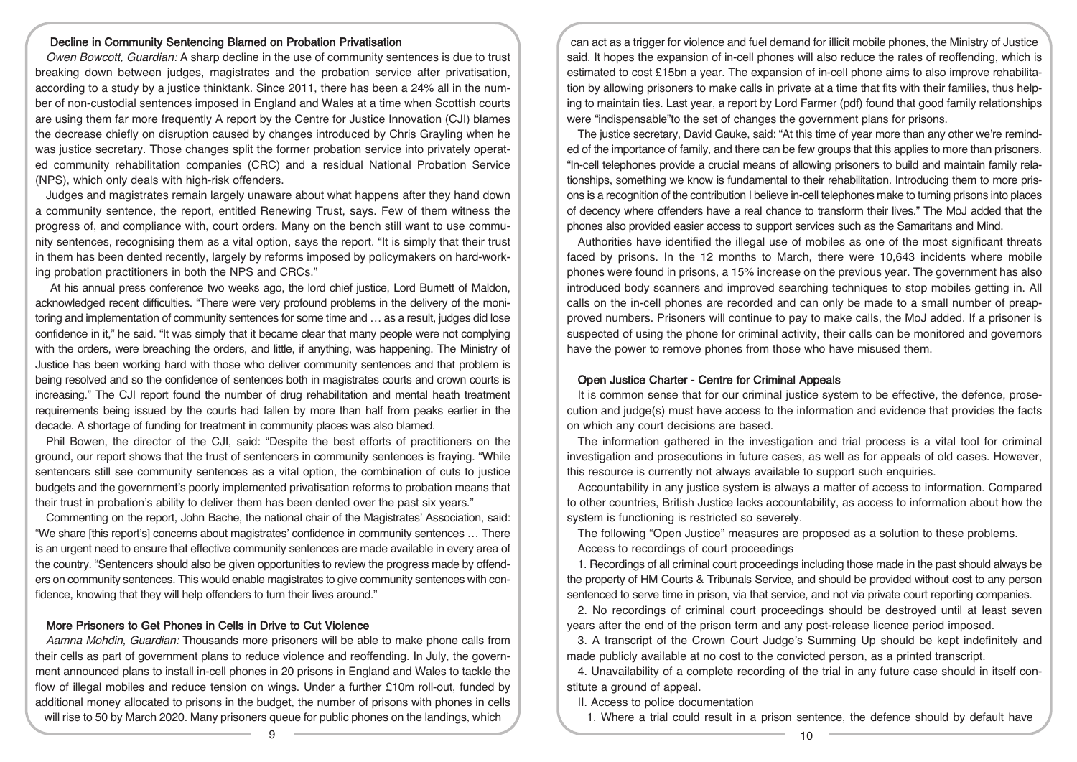## Decline in Community Sentencing Blamed on Probation Privatisation

Owen Bowcott, Guardian: A sharp decline in the use of community sentences is due to trust breaking down between judges, magistrates and the probation service after privatisation, according to a study by a justice thinktank. Since 2011, there has been a 24% all in the number of non-custodial sentences imposed in England and Wales at a time when Scottish courts are using them far more frequently A report by the Centre for Justice Innovation (CJI) blames the decrease chiefly on disruption caused by changes introduced by Chris Grayling when he was justice secretary. Those changes split the former probation service into privately operated community rehabilitation companies (CRC) and a residual National Probation Service (NPS), which only deals with high-risk offenders.

Judges and magistrates remain largely unaware about what happens after they hand down a community sentence, the report, entitled Renewing Trust, says. Few of them witness the progress of, and compliance with, court orders. Many on the bench still want to use community sentences, recognising them as a vital option, says the report. "It is simply that their trust in them has been dented recently, largely by reforms imposed by policymakers on hard-working probation practitioners in both the NPS and CRCs."

At his annual press conference two weeks ago, the lord chief justice, Lord Burnett of Maldon, acknowledged recent difficulties. "There were very profound problems in the delivery of the monitoring and implementation of community sentences for some time and … as a result, judges did lose confidence in it," he said. "It was simply that it became clear that many people were not complying with the orders, were breaching the orders, and little, if anything, was happening. The Ministry of Justice has been working hard with those who deliver community sentences and that problem is being resolved and so the confidence of sentences both in magistrates courts and crown courts is increasing." The CJI report found the number of drug rehabilitation and mental heath treatment requirements being issued by the courts had fallen by more than half from peaks earlier in the decade. A shortage of funding for treatment in community places was also blamed.

Phil Bowen, the director of the CJI, said: "Despite the best efforts of practitioners on the ground, our report shows that the trust of sentencers in community sentences is fraying. "While sentencers still see community sentences as a vital option, the combination of cuts to justice budgets and the government's poorly implemented privatisation reforms to probation means that their trust in probation's ability to deliver them has been dented over the past six years."

Commenting on the report, John Bache, the national chair of the Magistrates' Association, said: "We share [this report's] concerns about magistrates' confidence in community sentences … There is an urgent need to ensure that effective community sentences are made available in every area of the country. "Sentencers should also be given opportunities to review the progress made by offenders on community sentences. This would enable magistrates to give community sentences with confidence, knowing that they will help offenders to turn their lives around."

#### More Prisoners to Get Phones in Cells in Drive to Cut Violence

Aamna Mohdin, Guardian: Thousands more prisoners will be able to make phone calls from their cells as part of government plans to reduce violence and reoffending. In July, the government announced plans to install in-cell phones in 20 prisons in England and Wales to tackle the flow of illegal mobiles and reduce tension on wings. Under a further £10m roll-out, funded by additional money allocated to prisons in the budget, the number of prisons with phones in cells will rise to 50 by March 2020. Many prisoners queue for public phones on the landings, which

can act as a trigger for violence and fuel demand for illicit mobile phones, the Ministry of Justice said. It hopes the expansion of in-cell phones will also reduce the rates of reoffending, which is estimated to cost £15bn a year. The expansion of in-cell phone aims to also improve rehabilitation by allowing prisoners to make calls in private at a time that fits with their families, thus helping to maintain ties. Last year, a report by Lord Farmer (pdf) found that good family relationships were "indispensable"to the set of changes the government plans for prisons.

The justice secretary, David Gauke, said: "At this time of year more than any other we're reminded of the importance of family, and there can be few groups that this applies to more than prisoners. "In-cell telephones provide a crucial means of allowing prisoners to build and maintain family relationships, something we know is fundamental to their rehabilitation. Introducing them to more prisons is a recognition of the contribution I believe in-cell telephones make to turning prisons into places of decency where offenders have a real chance to transform their lives." The MoJ added that the phones also provided easier access to support services such as the Samaritans and Mind.

Authorities have identified the illegal use of mobiles as one of the most significant threats faced by prisons. In the 12 months to March, there were 10,643 incidents where mobile phones were found in prisons, a 15% increase on the previous year. The government has also introduced body scanners and improved searching techniques to stop mobiles getting in. All calls on the in-cell phones are recorded and can only be made to a small number of preapproved numbers. Prisoners will continue to pay to make calls, the MoJ added. If a prisoner is suspected of using the phone for criminal activity, their calls can be monitored and governors have the power to remove phones from those who have misused them.

#### Open Justice Charter - Centre for Criminal Appeals

It is common sense that for our criminal justice system to be effective, the defence, prosecution and judge(s) must have access to the information and evidence that provides the facts on which any court decisions are based.

The information gathered in the investigation and trial process is a vital tool for criminal investigation and prosecutions in future cases, as well as for appeals of old cases. However, this resource is currently not always available to support such enquiries.

Accountability in any justice system is always a matter of access to information. Compared to other countries, British Justice lacks accountability, as access to information about how the system is functioning is restricted so severely.

The following "Open Justice" measures are proposed as a solution to these problems. Access to recordings of court proceedings

1. Recordings of all criminal court proceedings including those made in the past should always be the property of HM Courts & Tribunals Service, and should be provided without cost to any person sentenced to serve time in prison, via that service, and not via private court reporting companies.

2. No recordings of criminal court proceedings should be destroyed until at least seven years after the end of the prison term and any post-release licence period imposed.

3. A transcript of the Crown Court Judge's Summing Up should be kept indefinitely and made publicly available at no cost to the convicted person, as a printed transcript.

4. Unavailability of a complete recording of the trial in any future case should in itself constitute a ground of appeal.

II. Access to police documentation

1. Where a trial could result in a prison sentence, the defence should by default have